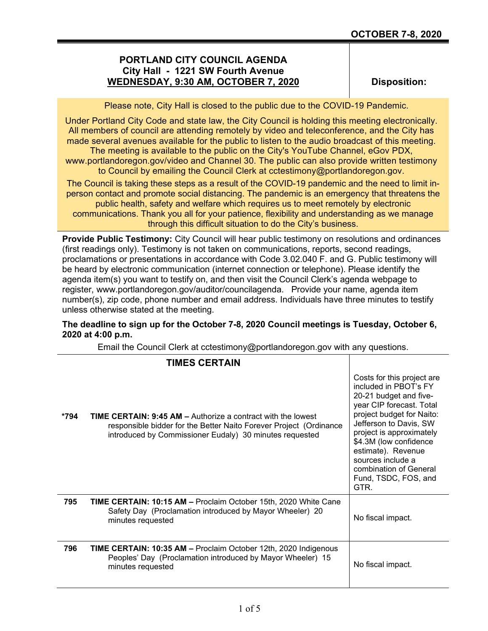## **PORTLAND CITY COUNCIL AGENDA City Hall - 1221 SW Fourth Avenue WEDNESDAY, 9:30 AM, OCTOBER 7, 2020**

**Disposition:**

Please note, City Hall is closed to the public due to the COVID-19 Pandemic.

Under Portland City Code and state law, the City Council is holding this meeting electronically. All members of council are attending remotely by video and teleconference, and the City has made several avenues available for the public to listen to the audio broadcast of this meeting. The meeting is available to the public on the City's YouTube Channel, eGov PDX,

www.portlandoregon.gov/video and Channel 30. The public can also provide written testimony to Council by emailing the Council Clerk at cctestimony@portlandoregon.gov.

The Council is taking these steps as a result of the COVID-19 pandemic and the need to limit inperson contact and promote social distancing. The pandemic is an emergency that threatens the public health, safety and welfare which requires us to meet remotely by electronic communications. Thank you all for your patience, flexibility and understanding as we manage through this difficult situation to do the City's business.

**Provide Public Testimony:** City Council will hear public testimony on resolutions and ordinances (first readings only). Testimony is not taken on communications, reports, second readings, proclamations or presentations in accordance with Code 3.02.040 F. and G. Public testimony will be heard by electronic communication (internet connection or telephone). Please identify the agenda item(s) you want to testify on, and then visit the Council Clerk's agenda webpage to register, www.portlandoregon.gov/auditor/councilagenda. Provide your name, agenda item number(s), zip code, phone number and email address. Individuals have three minutes to testify unless otherwise stated at the meeting.

## **The deadline to sign up for the October 7-8, 2020 Council meetings is Tuesday, October 6, 2020 at 4:00 p.m.**

Email the Council Clerk at cctestimony@portlandoregon.gov with any questions.

|      | <b>TIMES CERTAIN</b>                                                                                                                                                                                 |                                                                                                                                                                                                                                                                                                                             |
|------|------------------------------------------------------------------------------------------------------------------------------------------------------------------------------------------------------|-----------------------------------------------------------------------------------------------------------------------------------------------------------------------------------------------------------------------------------------------------------------------------------------------------------------------------|
| *794 | <b>TIME CERTAIN: 9:45 AM – Authorize a contract with the lowest</b><br>responsible bidder for the Better Naito Forever Project (Ordinance<br>introduced by Commissioner Eudaly) 30 minutes requested | Costs for this project are<br>included in PBOT's FY<br>20-21 budget and five-<br>year CIP forecast. Total<br>project budget for Naito:<br>Jefferson to Davis, SW<br>project is approximately<br>\$4.3M (low confidence<br>estimate). Revenue<br>sources include a<br>combination of General<br>Fund, TSDC, FOS, and<br>GTR. |
| 795  | <b>TIME CERTAIN: 10:15 AM - Proclaim October 15th, 2020 White Cane</b><br>Safety Day (Proclamation introduced by Mayor Wheeler) 20<br>minutes requested                                              | No fiscal impact.                                                                                                                                                                                                                                                                                                           |
| 796  | <b>TIME CERTAIN: 10:35 AM –</b> Proclaim October 12th, 2020 Indigenous<br>Peoples' Day (Proclamation introduced by Mayor Wheeler) 15<br>minutes requested                                            | No fiscal impact.                                                                                                                                                                                                                                                                                                           |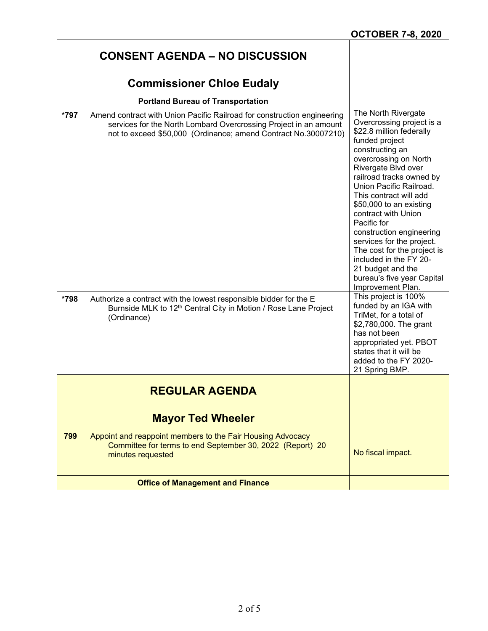|      | <b>CONSENT AGENDA – NO DISCUSSION</b>                                                                                                                                                                         |                                                                                                                                                                                                                                                                                                                                                                                                                                                                                                               |
|------|---------------------------------------------------------------------------------------------------------------------------------------------------------------------------------------------------------------|---------------------------------------------------------------------------------------------------------------------------------------------------------------------------------------------------------------------------------------------------------------------------------------------------------------------------------------------------------------------------------------------------------------------------------------------------------------------------------------------------------------|
|      | <b>Commissioner Chloe Eudaly</b>                                                                                                                                                                              |                                                                                                                                                                                                                                                                                                                                                                                                                                                                                                               |
|      | <b>Portland Bureau of Transportation</b>                                                                                                                                                                      |                                                                                                                                                                                                                                                                                                                                                                                                                                                                                                               |
| *797 | Amend contract with Union Pacific Railroad for construction engineering<br>services for the North Lombard Overcrossing Project in an amount<br>not to exceed \$50,000 (Ordinance; amend Contract No.30007210) | The North Rivergate<br>Overcrossing project is a<br>\$22.8 million federally<br>funded project<br>constructing an<br>overcrossing on North<br>Rivergate Blvd over<br>railroad tracks owned by<br>Union Pacific Railroad.<br>This contract will add<br>\$50,000 to an existing<br>contract with Union<br>Pacific for<br>construction engineering<br>services for the project.<br>The cost for the project is<br>included in the FY 20-<br>21 budget and the<br>bureau's five year Capital<br>Improvement Plan. |
| *798 | Authorize a contract with the lowest responsible bidder for the E<br>Burnside MLK to 12 <sup>th</sup> Central City in Motion / Rose Lane Project<br>(Ordinance)                                               | This project is 100%<br>funded by an IGA with<br>TriMet, for a total of<br>\$2,780,000. The grant<br>has not been<br>appropriated yet. PBOT<br>states that it will be<br>added to the FY 2020-<br>21 Spring BMP.                                                                                                                                                                                                                                                                                              |
|      | <b>REGULAR AGENDA</b>                                                                                                                                                                                         |                                                                                                                                                                                                                                                                                                                                                                                                                                                                                                               |
|      | <b>Mayor Ted Wheeler</b>                                                                                                                                                                                      |                                                                                                                                                                                                                                                                                                                                                                                                                                                                                                               |
| 799  | Appoint and reappoint members to the Fair Housing Advocacy<br>Committee for terms to end September 30, 2022 (Report) 20<br>minutes requested                                                                  | No fiscal impact.                                                                                                                                                                                                                                                                                                                                                                                                                                                                                             |
|      | <b>Office of Management and Finance</b>                                                                                                                                                                       |                                                                                                                                                                                                                                                                                                                                                                                                                                                                                                               |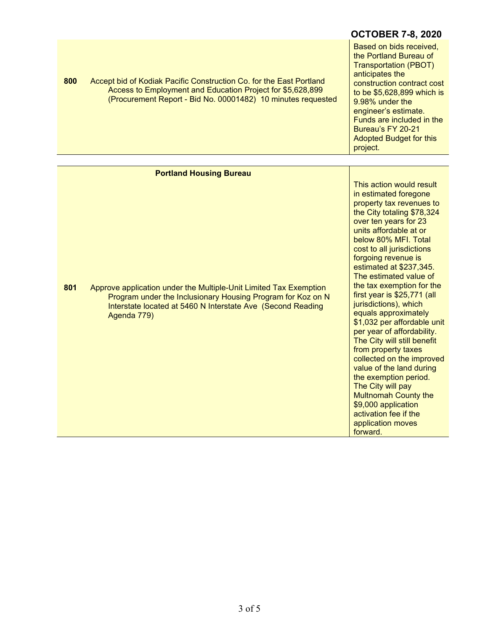|     |                                                                                                                                                                                                                | <b>OCTOBER 7-8, 2020</b>                                                                                                                                                                                                                                                                                                                                                                                                                                                                                                                                                                                                                                                                                                   |
|-----|----------------------------------------------------------------------------------------------------------------------------------------------------------------------------------------------------------------|----------------------------------------------------------------------------------------------------------------------------------------------------------------------------------------------------------------------------------------------------------------------------------------------------------------------------------------------------------------------------------------------------------------------------------------------------------------------------------------------------------------------------------------------------------------------------------------------------------------------------------------------------------------------------------------------------------------------------|
| 800 | Accept bid of Kodiak Pacific Construction Co. for the East Portland<br>Access to Employment and Education Project for \$5,628,899<br>(Procurement Report - Bid No. 00001482) 10 minutes requested              | Based on bids received,<br>the Portland Bureau of<br><b>Transportation (PBOT)</b><br>anticipates the<br>construction contract cost<br>to be \$5,628,899 which is<br>9.98% under the<br>engineer's estimate.<br>Funds are included in the<br>Bureau's FY 20-21<br><b>Adopted Budget for this</b><br>project.                                                                                                                                                                                                                                                                                                                                                                                                                |
|     |                                                                                                                                                                                                                |                                                                                                                                                                                                                                                                                                                                                                                                                                                                                                                                                                                                                                                                                                                            |
|     | <b>Portland Housing Bureau</b>                                                                                                                                                                                 | This action would result                                                                                                                                                                                                                                                                                                                                                                                                                                                                                                                                                                                                                                                                                                   |
| 801 | Approve application under the Multiple-Unit Limited Tax Exemption<br>Program under the Inclusionary Housing Program for Koz on N<br>Interstate located at 5460 N Interstate Ave (Second Reading<br>Agenda 779) | in estimated foregone<br>property tax revenues to<br>the City totaling \$78,324<br>over ten years for 23<br>units affordable at or<br>below 80% MFI. Total<br>cost to all jurisdictions<br>forgoing revenue is<br>estimated at \$237,345.<br>The estimated value of<br>the tax exemption for the<br>first year is \$25,771 (all<br>jurisdictions), which<br>equals approximately<br>\$1,032 per affordable unit<br>per year of affordability.<br>The City will still benefit<br>from property taxes<br>collected on the improved<br>value of the land during<br>the exemption period.<br>The City will pay<br><b>Multnomah County the</b><br>\$9,000 application<br>activation fee if the<br>application moves<br>forward. |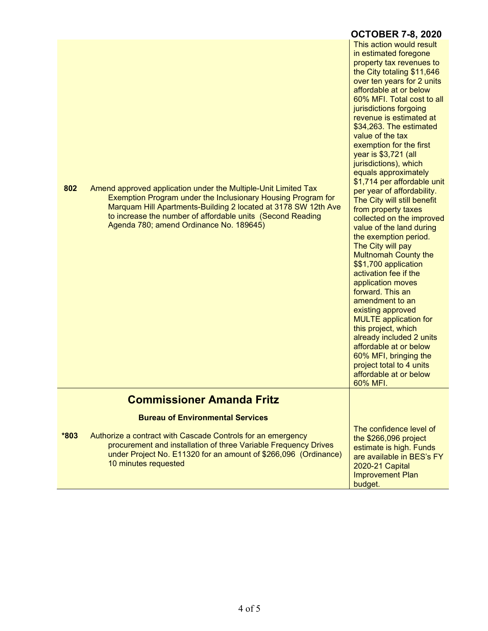|        |                                                                                                                                                                                                                                                                                                           | <b>OCTOBER 7-8, 2020</b>                                                                                                                                                                                                                                                                                                                                                                                                                                                                                                                                                                                                                                                                                                                                                                                                                                                                                                                                                                                      |
|--------|-----------------------------------------------------------------------------------------------------------------------------------------------------------------------------------------------------------------------------------------------------------------------------------------------------------|---------------------------------------------------------------------------------------------------------------------------------------------------------------------------------------------------------------------------------------------------------------------------------------------------------------------------------------------------------------------------------------------------------------------------------------------------------------------------------------------------------------------------------------------------------------------------------------------------------------------------------------------------------------------------------------------------------------------------------------------------------------------------------------------------------------------------------------------------------------------------------------------------------------------------------------------------------------------------------------------------------------|
| 802    | Amend approved application under the Multiple-Unit Limited Tax<br>Exemption Program under the Inclusionary Housing Program for<br>Marquam Hill Apartments-Building 2 located at 3178 SW 12th Ave<br>to increase the number of affordable units (Second Reading<br>Agenda 780; amend Ordinance No. 189645) | This action would result<br>in estimated foregone<br>property tax revenues to<br>the City totaling \$11,646<br>over ten years for 2 units<br>affordable at or below<br>60% MFI. Total cost to all<br>jurisdictions forgoing<br>revenue is estimated at<br>\$34,263. The estimated<br>value of the tax<br>exemption for the first<br>year is \$3,721 (all<br>jurisdictions), which<br>equals approximately<br>\$1,714 per affordable unit<br>per year of affordability.<br>The City will still benefit<br>from property taxes<br>collected on the improved<br>value of the land during<br>the exemption period.<br>The City will pay<br><b>Multnomah County the</b><br>\$\$1,700 application<br>activation fee if the<br>application moves<br>forward. This an<br>amendment to an<br>existing approved<br><b>MULTE</b> application for<br>this project, which<br>already included 2 units<br>affordable at or below<br>60% MFI, bringing the<br>project total to 4 units<br>affordable at or below<br>60% MFI. |
|        | <b>Commissioner Amanda Fritz</b>                                                                                                                                                                                                                                                                          |                                                                                                                                                                                                                                                                                                                                                                                                                                                                                                                                                                                                                                                                                                                                                                                                                                                                                                                                                                                                               |
|        | <b>Bureau of Environmental Services</b>                                                                                                                                                                                                                                                                   | The confidence level of                                                                                                                                                                                                                                                                                                                                                                                                                                                                                                                                                                                                                                                                                                                                                                                                                                                                                                                                                                                       |
| $*803$ | Authorize a contract with Cascade Controls for an emergency<br>procurement and installation of three Variable Frequency Drives<br>under Project No. E11320 for an amount of \$266,096 (Ordinance)<br>10 minutes requested                                                                                 | the \$266,096 project<br>estimate is high. Funds<br>are available in BES's FY<br>2020-21 Capital<br><b>Improvement Plan</b><br>budget.                                                                                                                                                                                                                                                                                                                                                                                                                                                                                                                                                                                                                                                                                                                                                                                                                                                                        |